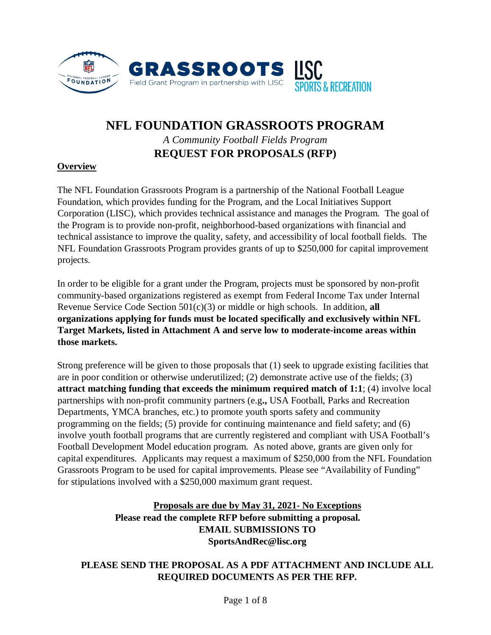

# **NFL FOUNDATION GRASSROOTS PROGRAM**  *A Community Football Fields Program* **REQUEST FOR PROPOSALS (RFP)**

### **Overview**

The NFL Foundation Grassroots Program is a partnership of the National Football League Foundation, which provides funding for the Program, and the Local Initiatives Support Corporation (LISC), which provides technical assistance and manages the Program. The goal of the Program is to provide non-profit, neighborhood-based organizations with financial and technical assistance to improve the quality, safety, and accessibility of local football fields. The NFL Foundation Grassroots Program provides grants of up to \$250,000 for capital improvement projects.

In order to be eligible for a grant under the Program, projects must be sponsored by non-profit community-based organizations registered as exempt from Federal Income Tax under Internal Revenue Service Code Section 501(c)(3) or middle or high schools. In addition, **all organizations applying for funds must be located specifically and exclusively within NFL Target Markets, listed in Attachment A and serve low to moderate-income areas within those markets.**

Strong preference will be given to those proposals that (1) seek to upgrade existing facilities that are in poor condition or otherwise underutilized; (2) demonstrate active use of the fields; (3) **attract matching funding that exceeds the minimum required match of 1:1**; (4) involve local partnerships with non-profit community partners (e.g**.,** USA Football, Parks and Recreation Departments, YMCA branches, etc.) to promote youth sports safety and community programming on the fields; (5) provide for continuing maintenance and field safety; and (6) involve youth football programs that are currently registered and compliant with USA Football's Football Development Model education program. As noted above, grants are given only for capital expenditures. Applicants may request a maximum of \$250,000 from the NFL Foundation Grassroots Program to be used for capital improvements. Please see "Availability of Funding" for stipulations involved with a \$250,000 maximum grant request.

# **Proposals are due by May 31, 2021- No Exceptions Please read the complete RFP before submitting a proposal. EMAIL SUBMISSIONS TO SportsAndRec@lisc.org**

# **PLEASE SEND THE PROPOSAL AS A PDF ATTACHMENT AND INCLUDE ALL REQUIRED DOCUMENTS AS PER THE RFP.**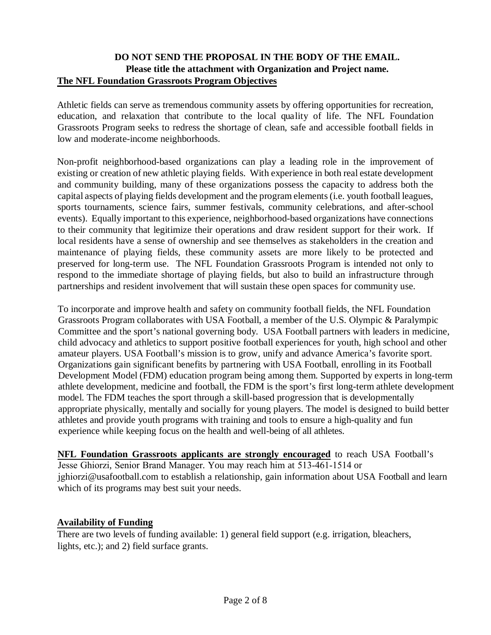# **DO NOT SEND THE PROPOSAL IN THE BODY OF THE EMAIL. Please title the attachment with Organization and Project name. The NFL Foundation Grassroots Program Objectives**

Athletic fields can serve as tremendous community assets by offering opportunities for recreation, education, and relaxation that contribute to the local quality of life. The NFL Foundation Grassroots Program seeks to redress the shortage of clean, safe and accessible football fields in low and moderate-income neighborhoods.

Non-profit neighborhood-based organizations can play a leading role in the improvement of existing or creation of new athletic playing fields. With experience in both real estate development and community building, many of these organizations possess the capacity to address both the capital aspects of playing fields development and the program elements (i.e. youth football leagues, sports tournaments, science fairs, summer festivals, community celebrations, and after-school events). Equally important to this experience, neighborhood-based organizations have connections to their community that legitimize their operations and draw resident support for their work. If local residents have a sense of ownership and see themselves as stakeholders in the creation and maintenance of playing fields, these community assets are more likely to be protected and preserved for long-term use. The NFL Foundation Grassroots Program is intended not only to respond to the immediate shortage of playing fields, but also to build an infrastructure through partnerships and resident involvement that will sustain these open spaces for community use.

To incorporate and improve health and safety on community football fields, the NFL Foundation Grassroots Program collaborates with USA Football, a member of the U.S. Olympic & Paralympic Committee and the sport's national governing body. USA Football partners with leaders in medicine, child advocacy and athletics to support positive football experiences for youth, high school and other amateur players. USA Football's mission is to grow, unify and advance America's favorite sport. Organizations gain significant benefits by partnering with USA Football, enrolling in its Football Development Model (FDM) education program being among them. Supported by experts in long-term athlete development, medicine and football, the FDM is the sport's first long-term athlete development model. The FDM teaches the sport through a skill-based progression that is developmentally appropriate physically, mentally and socially for young players. The model is designed to build better athletes and provide youth programs with training and tools to ensure a high-quality and fun experience while keeping focus on the health and well-being of all athletes.

**NFL Foundation Grassroots applicants are strongly encouraged** to reach USA Football's Jesse Ghiorzi, Senior Brand Manager. You may reach him at 513-461-1514 or jghiorzi@usafootball.com to establish a relationship, gain information about USA Football and learn which of its programs may best suit your needs.

### **Availability of Funding**

There are two levels of funding available: 1) general field support (e.g. irrigation, bleachers, lights, etc.); and 2) field surface grants.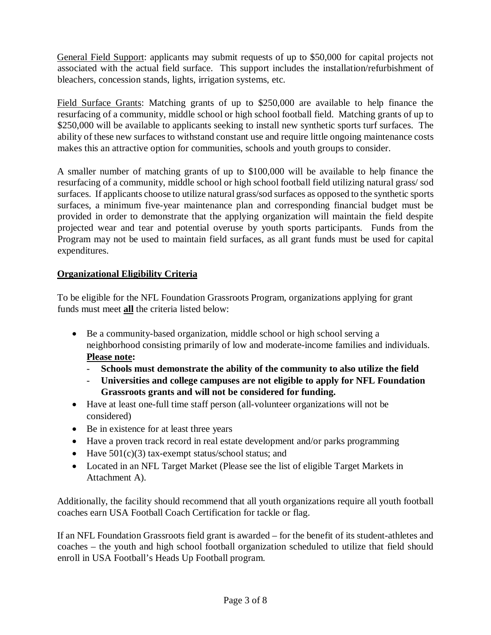General Field Support: applicants may submit requests of up to \$50,000 for capital projects not associated with the actual field surface. This support includes the installation/refurbishment of bleachers, concession stands, lights, irrigation systems, etc.

Field Surface Grants: Matching grants of up to \$250,000 are available to help finance the resurfacing of a community, middle school or high school football field. Matching grants of up to \$250,000 will be available to applicants seeking to install new synthetic sports turf surfaces. The ability of these new surfaces to withstand constant use and require little ongoing maintenance costs makes this an attractive option for communities, schools and youth groups to consider.

A smaller number of matching grants of up to \$100,000 will be available to help finance the resurfacing of a community, middle school or high school football field utilizing natural grass/ sod surfaces. If applicants choose to utilize natural grass/sod surfaces as opposed to the synthetic sports surfaces, a minimum five-year maintenance plan and corresponding financial budget must be provided in order to demonstrate that the applying organization will maintain the field despite projected wear and tear and potential overuse by youth sports participants. Funds from the Program may not be used to maintain field surfaces, as all grant funds must be used for capital expenditures.

# **Organizational Eligibility Criteria**

To be eligible for the NFL Foundation Grassroots Program, organizations applying for grant funds must meet **all** the criteria listed below:

- Be a community-based organization, middle school or high school serving a neighborhood consisting primarily of low and moderate-income families and individuals. **Please note:**
	- **Schools must demonstrate the ability of the community to also utilize the field**
	- **Universities and college campuses are not eligible to apply for NFL Foundation Grassroots grants and will not be considered for funding.**
- Have at least one-full time staff person (all-volunteer organizations will not be considered)
- Be in existence for at least three years
- Have a proven track record in real estate development and/or parks programming
- Have  $501(c)(3)$  tax-exempt status/school status; and
- Located in an NFL Target Market (Please see the list of eligible Target Markets in Attachment A).

Additionally, the facility should recommend that all youth organizations require all youth football coaches earn USA Football Coach Certification for tackle or flag.

If an NFL Foundation Grassroots field grant is awarded – for the benefit of its student-athletes and coaches – the youth and high school football organization scheduled to utilize that field should enroll in USA Football's Heads Up Football program.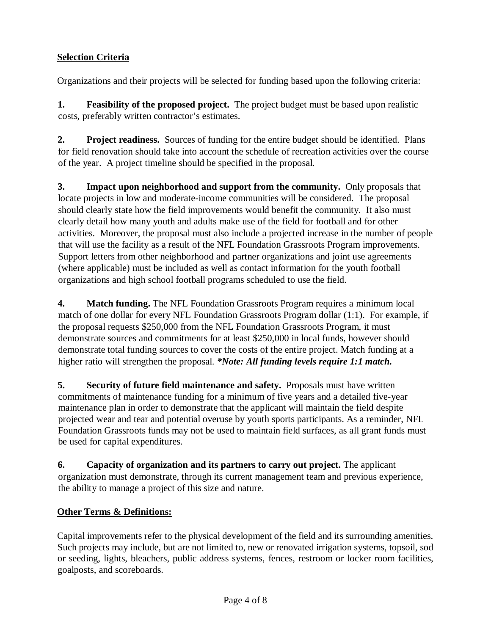# **Selection Criteria**

Organizations and their projects will be selected for funding based upon the following criteria:

**1. Feasibility of the proposed project.** The project budget must be based upon realistic costs, preferably written contractor's estimates.

**2. Project readiness.** Sources of funding for the entire budget should be identified. Plans for field renovation should take into account the schedule of recreation activities over the course of the year. A project timeline should be specified in the proposal.

**3. Impact upon neighborhood and support from the community.** Only proposals that locate projects in low and moderate-income communities will be considered. The proposal should clearly state how the field improvements would benefit the community. It also must clearly detail how many youth and adults make use of the field for football and for other activities. Moreover, the proposal must also include a projected increase in the number of people that will use the facility as a result of the NFL Foundation Grassroots Program improvements. Support letters from other neighborhood and partner organizations and joint use agreements (where applicable) must be included as well as contact information for the youth football organizations and high school football programs scheduled to use the field.

**4. Match funding.** The NFL Foundation Grassroots Program requires a minimum local match of one dollar for every NFL Foundation Grassroots Program dollar (1:1). For example, if the proposal requests \$250,000 from the NFL Foundation Grassroots Program, it must demonstrate sources and commitments for at least \$250,000 in local funds, however should demonstrate total funding sources to cover the costs of the entire project. Match funding at a higher ratio will strengthen the proposal. *\*Note: All funding levels require 1:1 match.*

**5. Security of future field maintenance and safety.** Proposals must have written commitments of maintenance funding for a minimum of five years and a detailed five-year maintenance plan in order to demonstrate that the applicant will maintain the field despite projected wear and tear and potential overuse by youth sports participants. As a reminder, NFL Foundation Grassroots funds may not be used to maintain field surfaces, as all grant funds must be used for capital expenditures.

**6. Capacity of organization and its partners to carry out project.** The applicant organization must demonstrate, through its current management team and previous experience, the ability to manage a project of this size and nature.

# **Other Terms & Definitions:**

Capital improvements refer to the physical development of the field and its surrounding amenities. Such projects may include, but are not limited to, new or renovated irrigation systems, topsoil, sod or seeding, lights, bleachers, public address systems, fences, restroom or locker room facilities, goalposts, and scoreboards.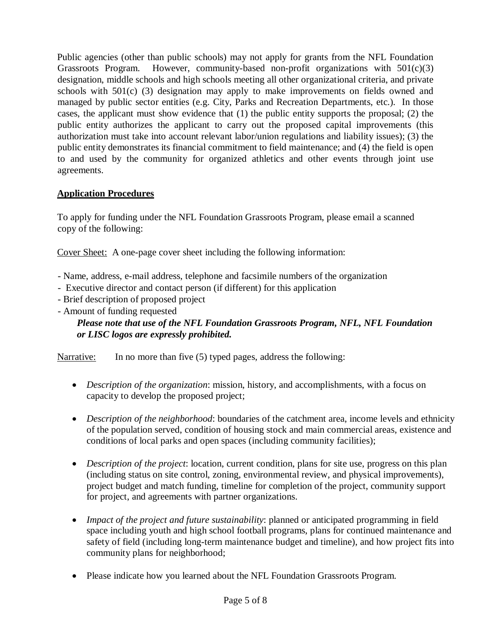Public agencies (other than public schools) may not apply for grants from the NFL Foundation Grassroots Program. However, community-based non-profit organizations with 501(c)(3) designation, middle schools and high schools meeting all other organizational criteria, and private schools with 501(c) (3) designation may apply to make improvements on fields owned and managed by public sector entities (e.g. City, Parks and Recreation Departments, etc.). In those cases, the applicant must show evidence that (1) the public entity supports the proposal; (2) the public entity authorizes the applicant to carry out the proposed capital improvements (this authorization must take into account relevant labor/union regulations and liability issues); (3) the public entity demonstrates its financial commitment to field maintenance; and (4) the field is open to and used by the community for organized athletics and other events through joint use agreements.

# **Application Procedures**

To apply for funding under the NFL Foundation Grassroots Program, please email a scanned copy of the following:

Cover Sheet: A one-page cover sheet including the following information:

- Name, address, e-mail address, telephone and facsimile numbers of the organization
- Executive director and contact person (if different) for this application
- Brief description of proposed project
- Amount of funding requested

# *Please note that use of the NFL Foundation Grassroots Program, NFL, NFL Foundation or LISC logos are expressly prohibited.*

Narrative: In no more than five (5) typed pages, address the following:

- *Description of the organization*: mission, history, and accomplishments, with a focus on capacity to develop the proposed project;
- *Description of the neighborhood*: boundaries of the catchment area, income levels and ethnicity of the population served, condition of housing stock and main commercial areas, existence and conditions of local parks and open spaces (including community facilities);
- *Description of the project*: location, current condition, plans for site use, progress on this plan (including status on site control, zoning, environmental review, and physical improvements), project budget and match funding, timeline for completion of the project, community support for project, and agreements with partner organizations.
- *Impact of the project and future sustainability*: planned or anticipated programming in field space including youth and high school football programs, plans for continued maintenance and safety of field (including long-term maintenance budget and timeline), and how project fits into community plans for neighborhood;
- Please indicate how you learned about the NFL Foundation Grassroots Program.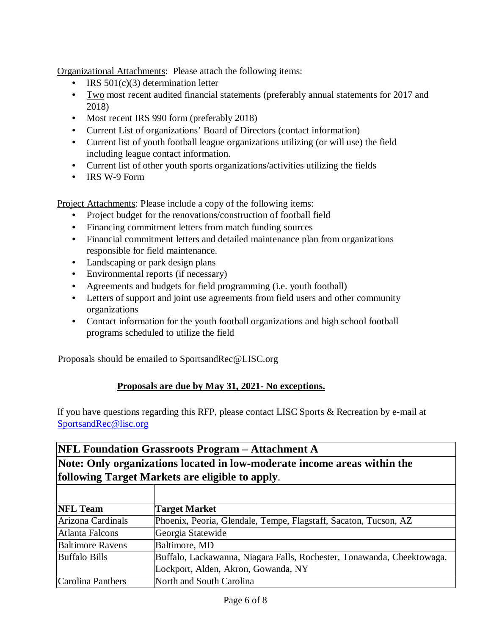Organizational Attachments: Please attach the following items:

- IRS 501(c)(3) determination letter
- Two most recent audited financial statements (preferably annual statements for 2017 and 2018)
- Most recent IRS 990 form (preferably 2018)
- Current List of organizations' Board of Directors (contact information)
- Current list of youth football league organizations utilizing (or will use) the field including league contact information.
- Current list of other youth sports organizations/activities utilizing the fields
- IRS W-9 Form

Project Attachments: Please include a copy of the following items:

- Project budget for the renovations/construction of football field
- Financing commitment letters from match funding sources
- Financial commitment letters and detailed maintenance plan from organizations responsible for field maintenance.
- Landscaping or park design plans
- Environmental reports (if necessary)
- Agreements and budgets for field programming (i.e. youth football)
- Letters of support and joint use agreements from field users and other community organizations
- Contact information for the youth football organizations and high school football programs scheduled to utilize the field

Proposals should be emailed to SportsandRec@LISC.org

# **Proposals are due by May 31, 2021- No exceptions.**

If you have questions regarding this RFP, please contact LISC Sports & Recreation by e-mail at SportsandRec@lisc.org

# **NFL Foundation Grassroots Program – Attachment A Note: Only organizations located in low-moderate income areas within the following Target Markets are eligible to apply**.

| <b>NFL Team</b>         | <b>Target Market</b>                                                   |
|-------------------------|------------------------------------------------------------------------|
| Arizona Cardinals       | Phoenix, Peoria, Glendale, Tempe, Flagstaff, Sacaton, Tucson, AZ       |
| Atlanta Falcons         | Georgia Statewide                                                      |
| <b>Baltimore Ravens</b> | Baltimore, MD                                                          |
| <b>Buffalo Bills</b>    | Buffalo, Lackawanna, Niagara Falls, Rochester, Tonawanda, Cheektowaga, |
|                         | Lockport, Alden, Akron, Gowanda, NY                                    |
| Carolina Panthers       | North and South Carolina                                               |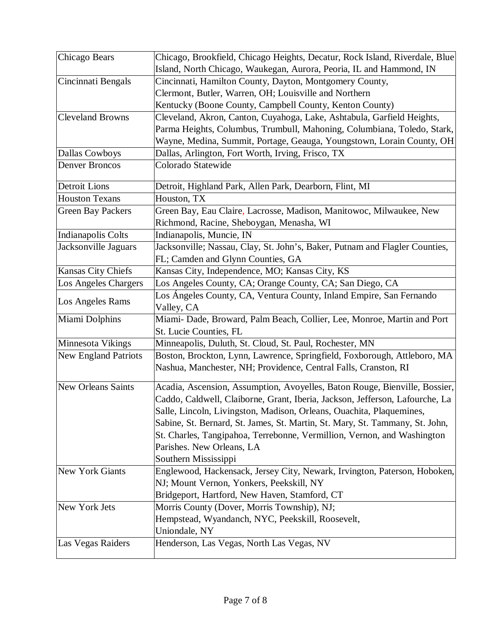| Chicago Bears               | Chicago, Brookfield, Chicago Heights, Decatur, Rock Island, Riverdale, Blue                                                                                                                                                                                                                                                                                                                                                                        |
|-----------------------------|----------------------------------------------------------------------------------------------------------------------------------------------------------------------------------------------------------------------------------------------------------------------------------------------------------------------------------------------------------------------------------------------------------------------------------------------------|
|                             | Island, North Chicago, Waukegan, Aurora, Peoria, IL and Hammond, IN                                                                                                                                                                                                                                                                                                                                                                                |
| Cincinnati Bengals          | Cincinnati, Hamilton County, Dayton, Montgomery County,                                                                                                                                                                                                                                                                                                                                                                                            |
|                             | Clermont, Butler, Warren, OH; Louisville and Northern                                                                                                                                                                                                                                                                                                                                                                                              |
|                             | Kentucky (Boone County, Campbell County, Kenton County)                                                                                                                                                                                                                                                                                                                                                                                            |
| <b>Cleveland Browns</b>     | Cleveland, Akron, Canton, Cuyahoga, Lake, Ashtabula, Garfield Heights,                                                                                                                                                                                                                                                                                                                                                                             |
|                             | Parma Heights, Columbus, Trumbull, Mahoning, Columbiana, Toledo, Stark,                                                                                                                                                                                                                                                                                                                                                                            |
|                             | Wayne, Medina, Summit, Portage, Geauga, Youngstown, Lorain County, OH                                                                                                                                                                                                                                                                                                                                                                              |
| <b>Dallas Cowboys</b>       | Dallas, Arlington, Fort Worth, Irving, Frisco, TX                                                                                                                                                                                                                                                                                                                                                                                                  |
| <b>Denver Broncos</b>       | Colorado Statewide                                                                                                                                                                                                                                                                                                                                                                                                                                 |
| <b>Detroit Lions</b>        | Detroit, Highland Park, Allen Park, Dearborn, Flint, MI                                                                                                                                                                                                                                                                                                                                                                                            |
| <b>Houston Texans</b>       | Houston, TX                                                                                                                                                                                                                                                                                                                                                                                                                                        |
| <b>Green Bay Packers</b>    | Green Bay, Eau Claire, Lacrosse, Madison, Manitowoc, Milwaukee, New                                                                                                                                                                                                                                                                                                                                                                                |
|                             | Richmond, Racine, Sheboygan, Menasha, WI                                                                                                                                                                                                                                                                                                                                                                                                           |
| Indianapolis Colts          | Indianapolis, Muncie, IN                                                                                                                                                                                                                                                                                                                                                                                                                           |
| Jacksonville Jaguars        | Jacksonville; Nassau, Clay, St. John's, Baker, Putnam and Flagler Counties,                                                                                                                                                                                                                                                                                                                                                                        |
|                             | FL; Camden and Glynn Counties, GA                                                                                                                                                                                                                                                                                                                                                                                                                  |
| Kansas City Chiefs          | Kansas City, Independence, MO; Kansas City, KS                                                                                                                                                                                                                                                                                                                                                                                                     |
| Los Angeles Chargers        | Los Angeles County, CA; Orange County, CA; San Diego, CA                                                                                                                                                                                                                                                                                                                                                                                           |
| Los Angeles Rams            | Los Ángeles County, CA, Ventura County, Inland Empire, San Fernando                                                                                                                                                                                                                                                                                                                                                                                |
|                             | Valley, CA                                                                                                                                                                                                                                                                                                                                                                                                                                         |
| Miami Dolphins              | Miami- Dade, Broward, Palm Beach, Collier, Lee, Monroe, Martin and Port                                                                                                                                                                                                                                                                                                                                                                            |
|                             | St. Lucie Counties, FL                                                                                                                                                                                                                                                                                                                                                                                                                             |
| Minnesota Vikings           | Minneapolis, Duluth, St. Cloud, St. Paul, Rochester, MN                                                                                                                                                                                                                                                                                                                                                                                            |
| <b>New England Patriots</b> | Boston, Brockton, Lynn, Lawrence, Springfield, Foxborough, Attleboro, MA<br>Nashua, Manchester, NH; Providence, Central Falls, Cranston, RI                                                                                                                                                                                                                                                                                                        |
| <b>New Orleans Saints</b>   | Acadia, Ascension, Assumption, Avoyelles, Baton Rouge, Bienville, Bossier,<br>Caddo, Caldwell, Claiborne, Grant, Iberia, Jackson, Jefferson, Lafourche, La<br>Salle, Lincoln, Livingston, Madison, Orleans, Ouachita, Plaquemines,<br>Sabine, St. Bernard, St. James, St. Martin, St. Mary, St. Tammany, St. John,<br>St. Charles, Tangipahoa, Terrebonne, Vermillion, Vernon, and Washington<br>Parishes. New Orleans, LA<br>Southern Mississippi |
| <b>New York Giants</b>      | Englewood, Hackensack, Jersey City, Newark, Irvington, Paterson, Hoboken,                                                                                                                                                                                                                                                                                                                                                                          |
|                             | NJ; Mount Vernon, Yonkers, Peekskill, NY                                                                                                                                                                                                                                                                                                                                                                                                           |
|                             | Bridgeport, Hartford, New Haven, Stamford, CT                                                                                                                                                                                                                                                                                                                                                                                                      |
| New York Jets               | Morris County (Dover, Morris Township), NJ;                                                                                                                                                                                                                                                                                                                                                                                                        |
|                             | Hempstead, Wyandanch, NYC, Peekskill, Roosevelt,                                                                                                                                                                                                                                                                                                                                                                                                   |
|                             | Uniondale, NY                                                                                                                                                                                                                                                                                                                                                                                                                                      |
| Las Vegas Raiders           | Henderson, Las Vegas, North Las Vegas, NV                                                                                                                                                                                                                                                                                                                                                                                                          |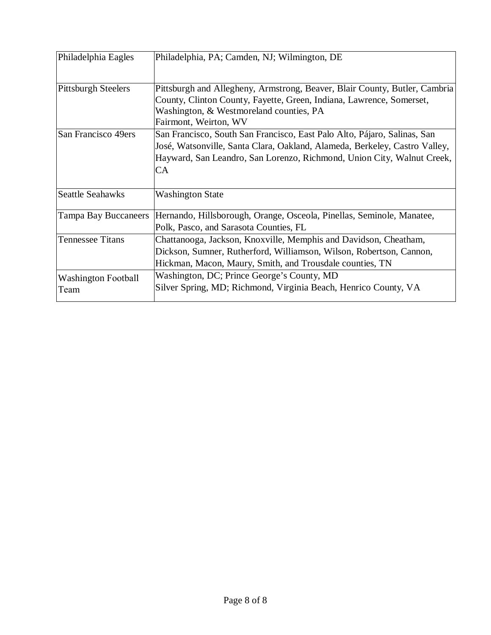| Philadelphia Eagles                | Philadelphia, PA; Camden, NJ; Wilmington, DE                                                                                                                                                                                                  |
|------------------------------------|-----------------------------------------------------------------------------------------------------------------------------------------------------------------------------------------------------------------------------------------------|
| <b>Pittsburgh Steelers</b>         | Pittsburgh and Allegheny, Armstrong, Beaver, Blair County, Butler, Cambria<br>County, Clinton County, Fayette, Green, Indiana, Lawrence, Somerset,<br>Washington, & Westmoreland counties, PA<br>Fairmont, Weirton, WV                        |
| San Francisco 49ers                | San Francisco, South San Francisco, East Palo Alto, Pájaro, Salinas, San<br>José, Watsonville, Santa Clara, Oakland, Alameda, Berkeley, Castro Valley,<br>Hayward, San Leandro, San Lorenzo, Richmond, Union City, Walnut Creek,<br><b>CA</b> |
| <b>Seattle Seahawks</b>            | <b>Washington State</b>                                                                                                                                                                                                                       |
| Tampa Bay Buccaneers               | Hernando, Hillsborough, Orange, Osceola, Pinellas, Seminole, Manatee,<br>Polk, Pasco, and Sarasota Counties, FL                                                                                                                               |
| <b>Tennessee Titans</b>            | Chattanooga, Jackson, Knoxville, Memphis and Davidson, Cheatham,<br>Dickson, Sumner, Rutherford, Williamson, Wilson, Robertson, Cannon,<br>Hickman, Macon, Maury, Smith, and Trousdale counties, TN                                           |
| <b>Washington Football</b><br>Team | Washington, DC; Prince George's County, MD<br>Silver Spring, MD; Richmond, Virginia Beach, Henrico County, VA                                                                                                                                 |